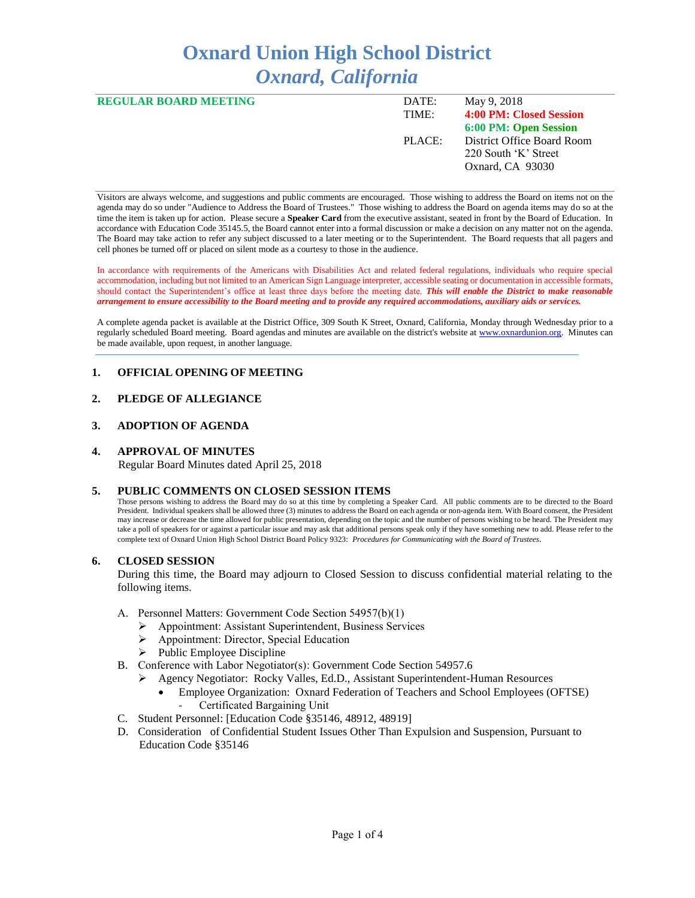# **Oxnard Union High School District** *Oxnard, California*

| <b>REGULAR BOARD MEETING</b> | DATE:  | May 9, 2018                |
|------------------------------|--------|----------------------------|
|                              | TIME:  | 4:00 PM: Closed Session    |
|                              |        | 6:00 PM: Open Session      |
|                              | PLACE: | District Office Board Room |
|                              |        | 220 South 'K' Street       |
|                              |        | Oxnard, CA 93030           |
|                              |        |                            |

Visitors are always welcome, and suggestions and public comments are encouraged. Those wishing to address the Board on items not on the agenda may do so under "Audience to Address the Board of Trustees." Those wishing to address the Board on agenda items may do so at the time the item is taken up for action. Please secure a **Speaker Card** from the executive assistant, seated in front by the Board of Education. In accordance with Education Code 35145.5, the Board cannot enter into a formal discussion or make a decision on any matter not on the agenda. The Board may take action to refer any subject discussed to a later meeting or to the Superintendent. The Board requests that all pagers and cell phones be turned off or placed on silent mode as a courtesy to those in the audience.

In accordance with requirements of the Americans with Disabilities Act and related federal regulations, individuals who require special accommodation, including but not limited to an American Sign Language interpreter, accessible seating or documentation in accessible formats, should contact the Superintendent's office at least three days before the meeting date. *This will enable the District to make reasonable arrangement to ensure accessibility to the Board meeting and to provide any required accommodations, auxiliary aids or services.* 

A complete agenda packet is available at the District Office, 309 South K Street, Oxnard, California, Monday through Wednesday prior to a regularly scheduled Board meeting. Board agendas and minutes are available on the district's website a[t www.ox](http://www.o/)nardunion.org.Minutes can be made available, upon request, in another language.

# **1. OFFICIAL OPENING OF MEETING**

# **2. PLEDGE OF ALLEGIANCE**

# **3. ADOPTION OF AGENDA**

## **4. APPROVAL OF MINUTES**

Regular Board Minutes dated April 25, 2018

## **5. PUBLIC COMMENTS ON CLOSED SESSION ITEMS**

Those persons wishing to address the Board may do so at this time by completing a Speaker Card. All public comments are to be directed to the Board President. Individual speakers shall be allowed three (3) minutes to address the Board on each agenda or non-agenda item. With Board consent, the President may increase or decrease the time allowed for public presentation, depending on the topic and the number of persons wishing to be heard. The President may take a poll of speakers for or against a particular issue and may ask that additional persons speak only if they have something new to add. Please refer to the complete text of Oxnard Union High School District Board Policy 9323: *Procedures for Communicating with the Board of Trustees*.

## **6. CLOSED SESSION**

During this time, the Board may adjourn to Closed Session to discuss confidential material relating to the following items.

- A. Personnel Matters: Government Code Section 54957(b)(1)
	- ➢ Appointment: Assistant Superintendent, Business Services
	- ➢ Appointment: Director, Special Education
	- $\triangleright$  Public Employee Discipline
- B. Conference with Labor Negotiator(s): Government Code Section 54957.6
	- ➢ Agency Negotiator: Rocky Valles, Ed.D., Assistant Superintendent-Human Resources
		- Employee Organization: Oxnard Federation of Teachers and School Employees (OFTSE) Certificated Bargaining Unit
- C. Student Personnel: [Education Code §35146, 48912, 48919]
- D. Consideration of Confidential Student Issues Other Than Expulsion and Suspension, Pursuant to Education Code §35146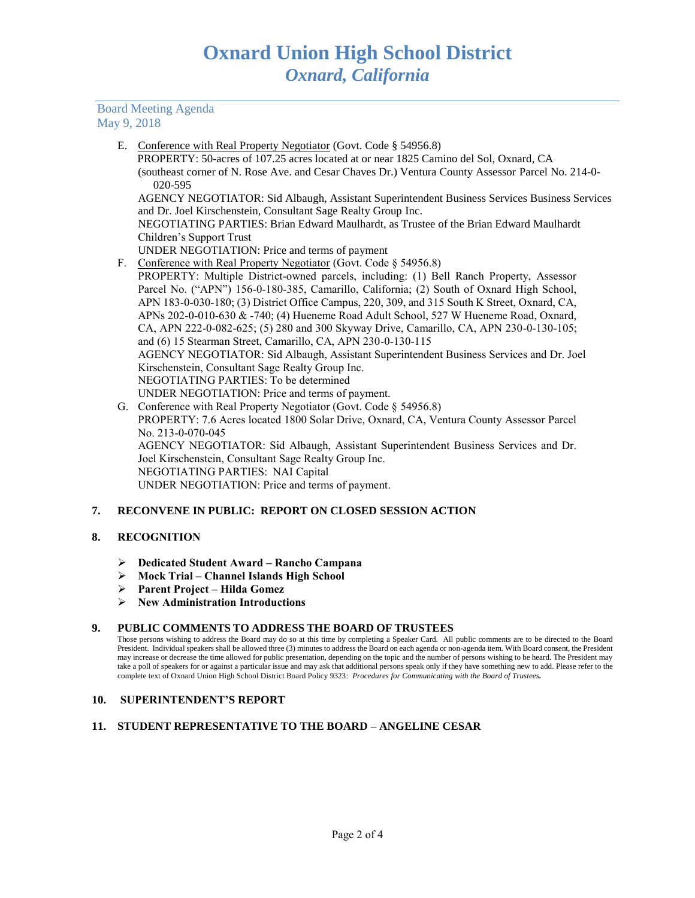# Board Meeting Agenda May 9, 2018

E. Conference with Real Property Negotiator (Govt. Code § 54956.8)

 PROPERTY: 50-acres of 107.25 acres located at or near 1825 Camino del Sol, Oxnard, CA (southeast corner of N. Rose Ave. and Cesar Chaves Dr.) Ventura County Assessor Parcel No. 214-0- 020-595

AGENCY NEGOTIATOR: Sid Albaugh, Assistant Superintendent Business Services Business Services and Dr. Joel Kirschenstein, Consultant Sage Realty Group Inc.

NEGOTIATING PARTIES: Brian Edward Maulhardt, as Trustee of the Brian Edward Maulhardt Children's Support Trust

- UNDER NEGOTIATION: Price and terms of payment
- F. Conference with Real Property Negotiator (Govt. Code § 54956.8)

PROPERTY: Multiple District-owned parcels, including: (1) Bell Ranch Property, Assessor Parcel No. ("APN") 156-0-180-385, Camarillo, California; (2) South of Oxnard High School, APN 183-0-030-180; (3) District Office Campus, 220, 309, and 315 South K Street, Oxnard, CA, APNs 202-0-010-630 & -740; (4) Hueneme Road Adult School, 527 W Hueneme Road, Oxnard, CA, APN 222-0-082-625; (5) 280 and 300 Skyway Drive, Camarillo, CA, APN 230-0-130-105; and (6) 15 Stearman Street, Camarillo, CA, APN 230-0-130-115 AGENCY NEGOTIATOR: Sid Albaugh, Assistant Superintendent Business Services and Dr. Joel Kirschenstein, Consultant Sage Realty Group Inc. NEGOTIATING PARTIES: To be determined UNDER NEGOTIATION: Price and terms of payment.

G. Conference with Real Property Negotiator (Govt. Code § 54956.8) PROPERTY: 7.6 Acres located 1800 Solar Drive, Oxnard, CA, Ventura County Assessor Parcel No. 213-0-070-045 AGENCY NEGOTIATOR: Sid Albaugh, Assistant Superintendent Business Services and Dr. Joel Kirschenstein, Consultant Sage Realty Group Inc. NEGOTIATING PARTIES: NAI Capital UNDER NEGOTIATION: Price and terms of payment.

# **7. RECONVENE IN PUBLIC: REPORT ON CLOSED SESSION ACTION**

# **8. RECOGNITION**

- ➢ **Dedicated Student Award – Rancho Campana**
- ➢ **Mock Trial – Channel Islands High School**
- ➢ **Parent Project – Hilda Gomez**
- ➢ **New Administration Introductions**

## **9. PUBLIC COMMENTS TO ADDRESS THE BOARD OF TRUSTEES**

Those persons wishing to address the Board may do so at this time by completing a Speaker Card. All public comments are to be directed to the Board President. Individual speakers shall be allowed three (3) minutes to address the Board on each agenda or non-agenda item. With Board consent, the President may increase or decrease the time allowed for public presentation, depending on the topic and the number of persons wishing to be heard. The President may take a poll of speakers for or against a particular issue and may ask that additional persons speak only if they have something new to add. Please refer to the complete text of Oxnard Union High School District Board Policy 9323: *Procedures for Communicating with the Board of Trustees.*

## **10. SUPERINTENDENT'S REPORT**

# **11. STUDENT REPRESENTATIVE TO THE BOARD – ANGELINE CESAR**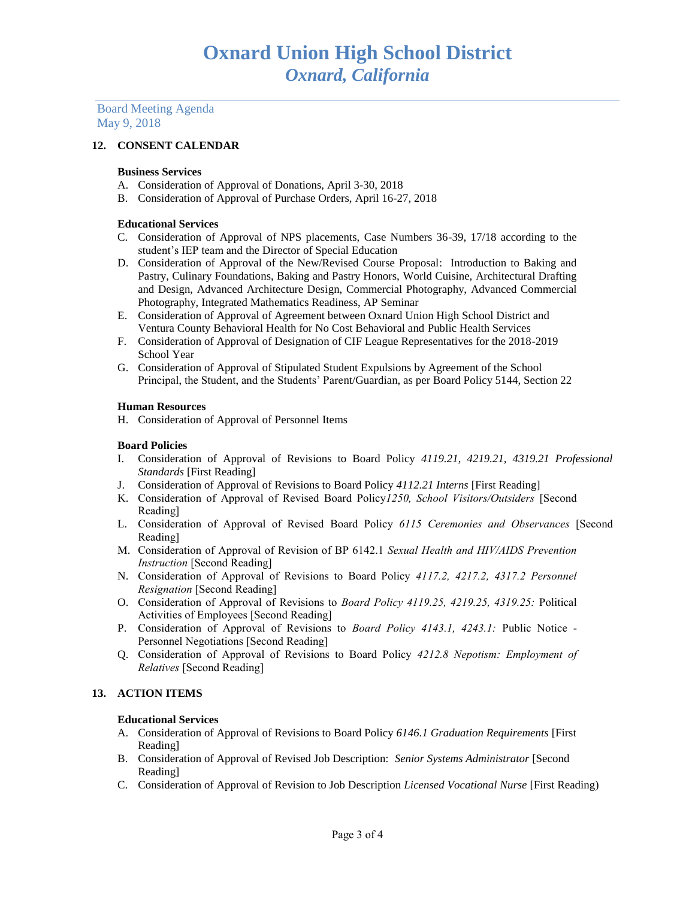Board Meeting Agenda May 9, 2018

# **12. CONSENT CALENDAR**

# **Business Services**

- A. Consideration of Approval of Donations, April 3-30, 2018
- B. Consideration of Approval of Purchase Orders, April 16-27, 2018

## **Educational Services**

- C. Consideration of Approval of NPS placements, Case Numbers 36-39, 17/18 according to the student's IEP team and the Director of Special Education
- D. Consideration of Approval of the New/Revised Course Proposal: Introduction to Baking and Pastry, Culinary Foundations, Baking and Pastry Honors, World Cuisine, Architectural Drafting and Design, Advanced Architecture Design, Commercial Photography, Advanced Commercial Photography, Integrated Mathematics Readiness, AP Seminar
- E. Consideration of Approval of Agreement between Oxnard Union High School District and Ventura County Behavioral Health for No Cost Behavioral and Public Health Services
- F. Consideration of Approval of Designation of CIF League Representatives for the 2018-2019 School Year
- G. Consideration of Approval of Stipulated Student Expulsions by Agreement of the School Principal, the Student, and the Students' Parent/Guardian, as per Board Policy 5144, Section 22

## **Human Resources**

H. Consideration of Approval of Personnel Items

## **Board Policies**

- I. Consideration of Approval of Revisions to Board Policy *4119.21, 4219.21, 4319.21 Professional Standards* [First Reading]
- J. Consideration of Approval of Revisions to Board Policy *4112.21 Interns* [First Reading]
- K. Consideration of Approval of Revised Board Policy*1250, School Visitors/Outsiders* [Second Reading]
- L. Consideration of Approval of Revised Board Policy *6115 Ceremonies and Observances* [Second Reading]
- M. Consideration of Approval of Revision of BP 6142.1 *Sexual Health and HIV/AIDS Prevention Instruction* [Second Reading]
- N. Consideration of Approval of Revisions to Board Policy *4117.2, 4217.2, 4317.2 Personnel Resignation* [Second Reading]
- O. Consideration of Approval of Revisions to *Board Policy 4119.25, 4219.25, 4319.25:* Political Activities of Employees [Second Reading]
- P. Consideration of Approval of Revisions to *Board Policy 4143.1, 4243.1:* Public Notice Personnel Negotiations [Second Reading]
- Q. Consideration of Approval of Revisions to Board Policy *4212.8 Nepotism: Employment of Relatives* [Second Reading]

# **13. ACTION ITEMS**

## **Educational Services**

- A. Consideration of Approval of Revisions to Board Policy *6146.1 Graduation Requirements* [First Reading]
- B. Consideration of Approval of Revised Job Description: *Senior Systems Administrator* [Second Reading]
- C. Consideration of Approval of Revision to Job Description *Licensed Vocational Nurse* [First Reading)